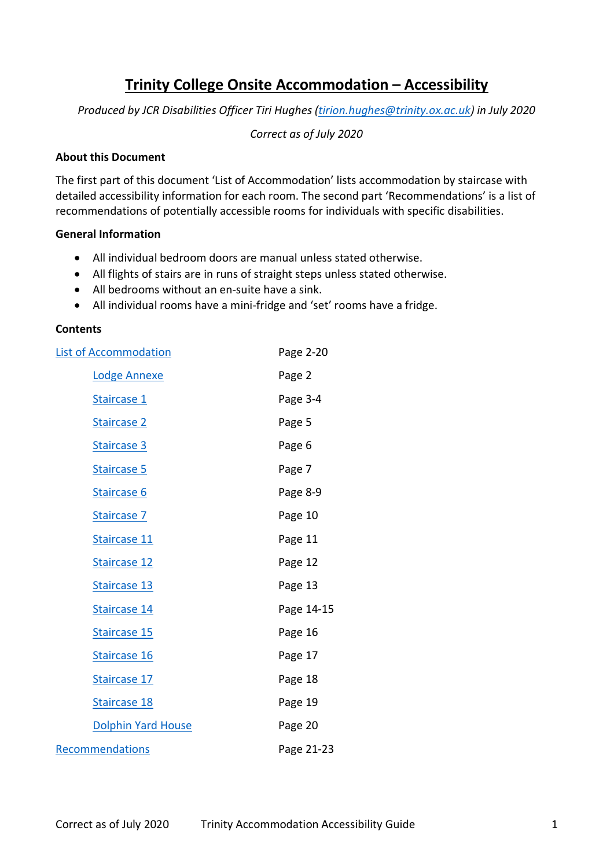# **Trinity College Onsite Accommodation – Accessibility**

<span id="page-0-0"></span>*Produced by JCR Disabilities Officer Tiri Hughes [\(tirion.hughes@trinity.ox.ac.uk\)](mailto:tirion.hughes@trinity.ox.ac.uk) in July 2020*

*Correct as of July 2020*

#### **About this Document**

The first part of this document 'List of Accommodation' lists accommodation by staircase with detailed accessibility information for each room. The second part 'Recommendations' is a list of recommendations of potentially accessible rooms for individuals with specific disabilities.

#### **General Information**

- All individual bedroom doors are manual unless stated otherwise.
- All flights of stairs are in runs of straight steps unless stated otherwise.
- All bedrooms without an en-suite have a sink.
- All individual rooms have a mini-fridge and 'set' rooms have a fridge.

### **Contents**

| <b>List of Accommodation</b> | Page 2-20  |
|------------------------------|------------|
| Lodge Annexe                 | Page 2     |
| Staircase 1                  | Page 3-4   |
| Staircase 2                  | Page 5     |
| Staircase 3                  | Page 6     |
| Staircase 5                  | Page 7     |
| Staircase 6                  | Page 8-9   |
| Staircase 7                  | Page 10    |
| Staircase 11                 | Page 11    |
| Staircase 12                 | Page 12    |
| Staircase 13                 | Page 13    |
| Staircase 14                 | Page 14-15 |
| Staircase 15                 | Page 16    |
| Staircase 16                 | Page 17    |
| Staircase 17                 | Page 18    |
| Staircase 18                 | Page 19    |
| <b>Dolphin Yard House</b>    | Page 20    |
| Recommendations              | Page 21-23 |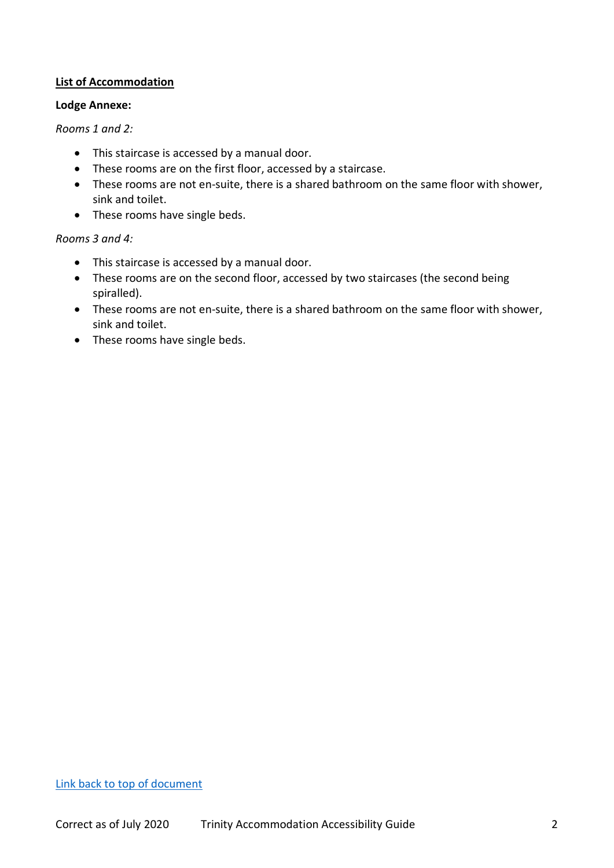### <span id="page-1-0"></span>**List of Accommodation**

#### <span id="page-1-1"></span>**Lodge Annexe:**

#### *Rooms 1 and 2:*

- This staircase is accessed by a manual door.
- These rooms are on the first floor, accessed by a staircase.
- These rooms are not en-suite, there is a shared bathroom on the same floor with shower, sink and toilet.
- These rooms have single beds.

#### *Rooms 3 and 4:*

- This staircase is accessed by a manual door.
- These rooms are on the second floor, accessed by two staircases (the second being spiralled).
- These rooms are not en-suite, there is a shared bathroom on the same floor with shower, sink and toilet.
- These rooms have single beds.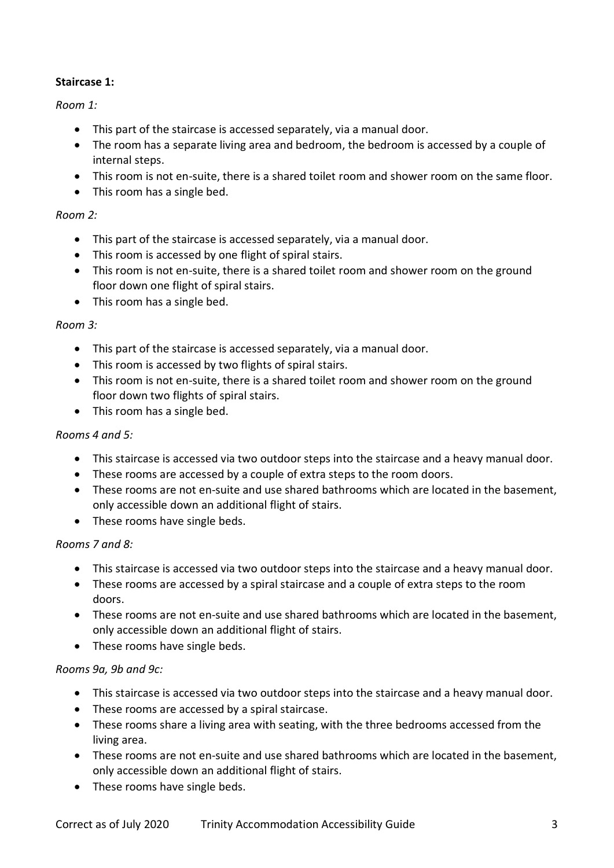# <span id="page-2-0"></span>**Staircase 1:**

# *Room 1:*

- This part of the staircase is accessed separately, via a manual door.
- The room has a separate living area and bedroom, the bedroom is accessed by a couple of internal steps.
- This room is not en-suite, there is a shared toilet room and shower room on the same floor.
- This room has a single bed.

### *Room 2:*

- This part of the staircase is accessed separately, via a manual door.
- This room is accessed by one flight of spiral stairs.
- This room is not en-suite, there is a shared toilet room and shower room on the ground floor down one flight of spiral stairs.
- This room has a single bed.

#### *Room 3:*

- This part of the staircase is accessed separately, via a manual door.
- This room is accessed by two flights of spiral stairs.
- This room is not en-suite, there is a shared toilet room and shower room on the ground floor down two flights of spiral stairs.
- This room has a single bed.

#### *Rooms 4 and 5:*

- This staircase is accessed via two outdoor steps into the staircase and a heavy manual door.
- These rooms are accessed by a couple of extra steps to the room doors.
- These rooms are not en-suite and use shared bathrooms which are located in the basement, only accessible down an additional flight of stairs.
- These rooms have single beds.

#### *Rooms 7 and 8:*

- This staircase is accessed via two outdoor steps into the staircase and a heavy manual door.
- These rooms are accessed by a spiral staircase and a couple of extra steps to the room doors.
- These rooms are not en-suite and use shared bathrooms which are located in the basement, only accessible down an additional flight of stairs.
- These rooms have single beds.

#### *Rooms 9a, 9b and 9c:*

- This staircase is accessed via two outdoor steps into the staircase and a heavy manual door.
- These rooms are accessed by a spiral staircase.
- These rooms share a living area with seating, with the three bedrooms accessed from the living area.
- These rooms are not en-suite and use shared bathrooms which are located in the basement, only accessible down an additional flight of stairs.
- These rooms have single beds.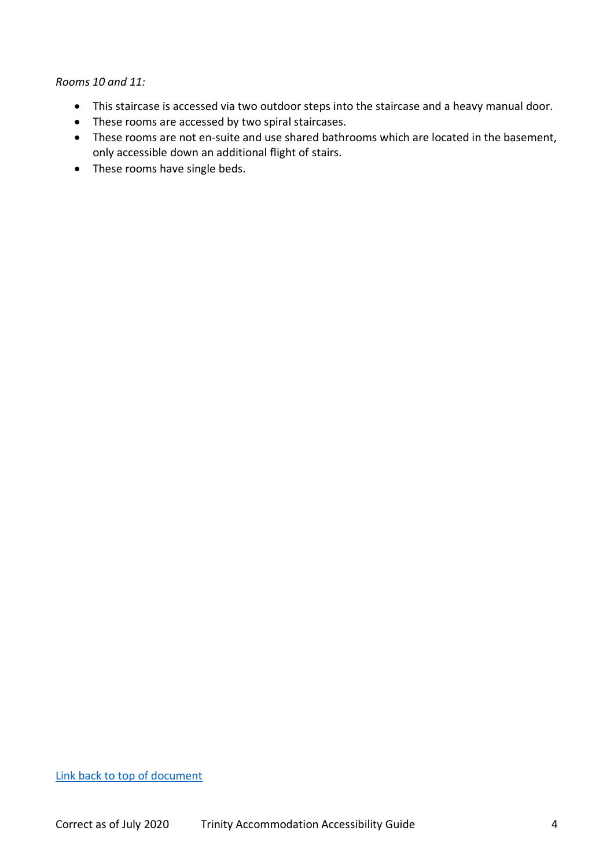*Rooms 10 and 11:*

- This staircase is accessed via two outdoor steps into the staircase and a heavy manual door.
- These rooms are accessed by two spiral staircases.
- These rooms are not en-suite and use shared bathrooms which are located in the basement, only accessible down an additional flight of stairs.
- These rooms have single beds.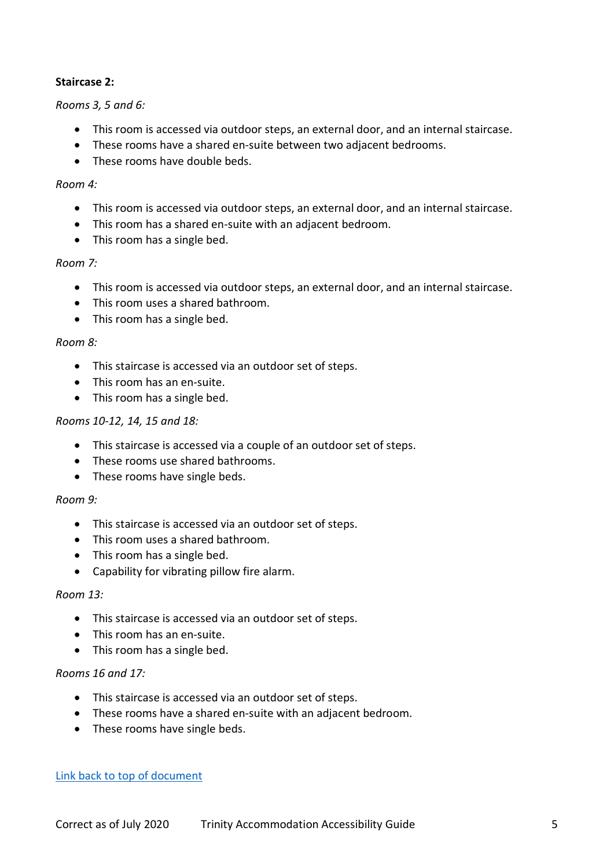### <span id="page-4-0"></span>**Staircase 2:**

#### *Rooms 3, 5 and 6:*

- This room is accessed via outdoor steps, an external door, and an internal staircase.
- These rooms have a shared en-suite between two adjacent bedrooms.
- These rooms have double beds.

#### *Room 4:*

- This room is accessed via outdoor steps, an external door, and an internal staircase.
- This room has a shared en-suite with an adjacent bedroom.
- This room has a single bed.

#### *Room 7:*

- This room is accessed via outdoor steps, an external door, and an internal staircase.
- This room uses a shared bathroom.
- This room has a single bed.

#### *Room 8:*

- This staircase is accessed via an outdoor set of steps.
- This room has an en-suite.
- This room has a single bed.

### *Rooms 10-12, 14, 15 and 18:*

- This staircase is accessed via a couple of an outdoor set of steps.
- These rooms use shared bathrooms.
- These rooms have single beds.

#### *Room 9:*

- This staircase is accessed via an outdoor set of steps.
- This room uses a shared bathroom.
- This room has a single bed.
- Capability for vibrating pillow fire alarm.

#### *Room 13:*

- This staircase is accessed via an outdoor set of steps.
- This room has an en-suite.
- This room has a single bed.

#### *Rooms 16 and 17:*

- This staircase is accessed via an outdoor set of steps.
- These rooms have a shared en-suite with an adjacent bedroom.
- These rooms have single beds.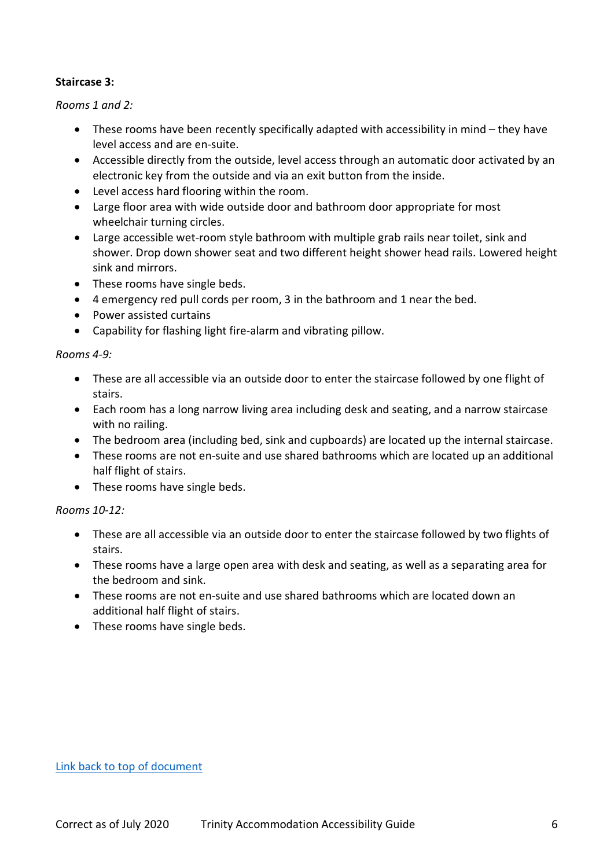### <span id="page-5-0"></span>**Staircase 3:**

*Rooms 1 and 2:*

- These rooms have been recently specifically adapted with accessibility in mind they have level access and are en-suite.
- Accessible directly from the outside, level access through an automatic door activated by an electronic key from the outside and via an exit button from the inside.
- Level access hard flooring within the room.
- Large floor area with wide outside door and bathroom door appropriate for most wheelchair turning circles.
- Large accessible wet-room style bathroom with multiple grab rails near toilet, sink and shower. Drop down shower seat and two different height shower head rails. Lowered height sink and mirrors.
- These rooms have single beds.
- 4 emergency red pull cords per room, 3 in the bathroom and 1 near the bed.
- Power assisted curtains
- Capability for flashing light fire-alarm and vibrating pillow.

### *Rooms 4-9:*

- These are all accessible via an outside door to enter the staircase followed by one flight of stairs.
- Each room has a long narrow living area including desk and seating, and a narrow staircase with no railing.
- The bedroom area (including bed, sink and cupboards) are located up the internal staircase.
- These rooms are not en-suite and use shared bathrooms which are located up an additional half flight of stairs.
- These rooms have single beds.

# *Rooms 10-12:*

- These are all accessible via an outside door to enter the staircase followed by two flights of stairs.
- These rooms have a large open area with desk and seating, as well as a separating area for the bedroom and sink.
- These rooms are not en-suite and use shared bathrooms which are located down an additional half flight of stairs.
- These rooms have single beds.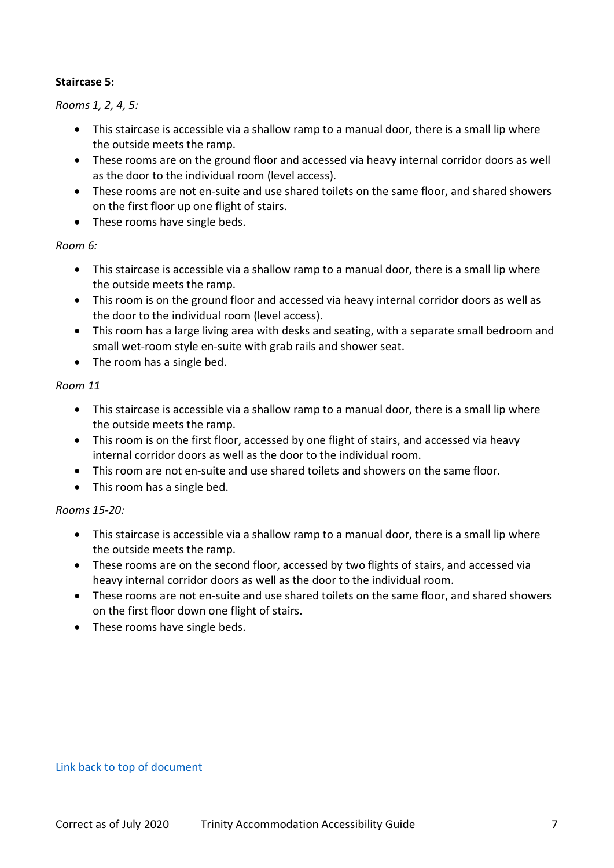### <span id="page-6-0"></span>**Staircase 5:**

#### *Rooms 1, 2, 4, 5:*

- This staircase is accessible via a shallow ramp to a manual door, there is a small lip where the outside meets the ramp.
- These rooms are on the ground floor and accessed via heavy internal corridor doors as well as the door to the individual room (level access).
- These rooms are not en-suite and use shared toilets on the same floor, and shared showers on the first floor up one flight of stairs.
- These rooms have single beds.

### *Room 6:*

- This staircase is accessible via a shallow ramp to a manual door, there is a small lip where the outside meets the ramp.
- This room is on the ground floor and accessed via heavy internal corridor doors as well as the door to the individual room (level access).
- This room has a large living area with desks and seating, with a separate small bedroom and small wet-room style en-suite with grab rails and shower seat.
- The room has a single bed.

#### *Room 11*

- This staircase is accessible via a shallow ramp to a manual door, there is a small lip where the outside meets the ramp.
- This room is on the first floor, accessed by one flight of stairs, and accessed via heavy internal corridor doors as well as the door to the individual room.
- This room are not en-suite and use shared toilets and showers on the same floor.
- This room has a single bed.

# *Rooms 15-20:*

- This staircase is accessible via a shallow ramp to a manual door, there is a small lip where the outside meets the ramp.
- These rooms are on the second floor, accessed by two flights of stairs, and accessed via heavy internal corridor doors as well as the door to the individual room.
- These rooms are not en-suite and use shared toilets on the same floor, and shared showers on the first floor down one flight of stairs.
- These rooms have single beds.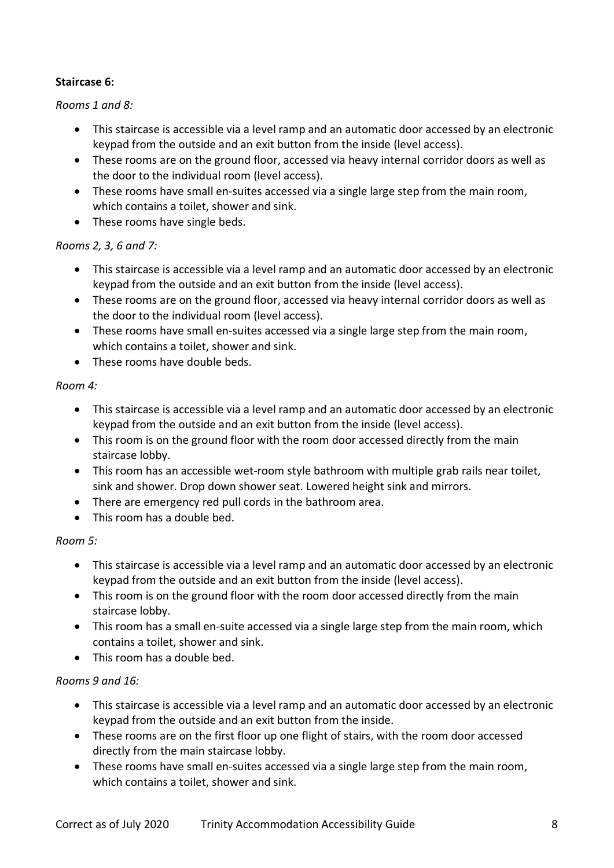## <span id="page-7-0"></span>**Staircase 6:**

#### *Rooms 1 and 8:*

- This staircase is accessible via a level ramp and an automatic door accessed by an electronic keypad from the outside and an exit button from the inside (level access).
- These rooms are on the ground floor, accessed via heavy internal corridor doors as well as the door to the individual room (level access).
- These rooms have small en-suites accessed via a single large step from the main room, which contains a toilet, shower and sink.
- These rooms have single beds.

# *Rooms 2, 3, 6 and 7:*

- This staircase is accessible via a level ramp and an automatic door accessed by an electronic keypad from the outside and an exit button from the inside (level access).
- These rooms are on the ground floor, accessed via heavy internal corridor doors as well as the door to the individual room (level access).
- These rooms have small en-suites accessed via a single large step from the main room, which contains a toilet, shower and sink.
- These rooms have double beds.

### *Room 4:*

- This staircase is accessible via a level ramp and an automatic door accessed by an electronic keypad from the outside and an exit button from the inside (level access).
- This room is on the ground floor with the room door accessed directly from the main staircase lobby.
- This room has an accessible wet-room style bathroom with multiple grab rails near toilet, sink and shower. Drop down shower seat. Lowered height sink and mirrors.
- There are emergency red pull cords in the bathroom area.
- This room has a double bed.

# *Room 5:*

- This staircase is accessible via a level ramp and an automatic door accessed by an electronic keypad from the outside and an exit button from the inside (level access).
- This room is on the ground floor with the room door accessed directly from the main staircase lobby.
- This room has a small en-suite accessed via a single large step from the main room, which contains a toilet, shower and sink.
- This room has a double bed.

# *Rooms 9 and 16:*

- This staircase is accessible via a level ramp and an automatic door accessed by an electronic keypad from the outside and an exit button from the inside.
- These rooms are on the first floor up one flight of stairs, with the room door accessed directly from the main staircase lobby.
- These rooms have small en-suites accessed via a single large step from the main room, which contains a toilet, shower and sink.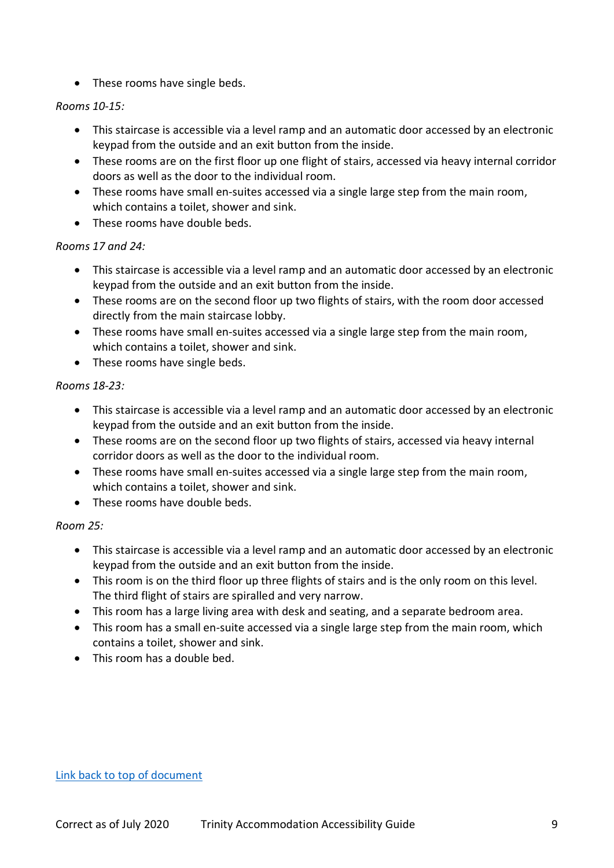• These rooms have single beds.

### *Rooms 10-15:*

- This staircase is accessible via a level ramp and an automatic door accessed by an electronic keypad from the outside and an exit button from the inside.
- These rooms are on the first floor up one flight of stairs, accessed via heavy internal corridor doors as well as the door to the individual room.
- These rooms have small en-suites accessed via a single large step from the main room, which contains a toilet, shower and sink.
- These rooms have double beds.

### *Rooms 17 and 24:*

- This staircase is accessible via a level ramp and an automatic door accessed by an electronic keypad from the outside and an exit button from the inside.
- These rooms are on the second floor up two flights of stairs, with the room door accessed directly from the main staircase lobby.
- These rooms have small en-suites accessed via a single large step from the main room, which contains a toilet, shower and sink.
- These rooms have single beds.

### *Rooms 18-23:*

- This staircase is accessible via a level ramp and an automatic door accessed by an electronic keypad from the outside and an exit button from the inside.
- These rooms are on the second floor up two flights of stairs, accessed via heavy internal corridor doors as well as the door to the individual room.
- These rooms have small en-suites accessed via a single large step from the main room, which contains a toilet, shower and sink.
- These rooms have double beds.

# *Room 25:*

- This staircase is accessible via a level ramp and an automatic door accessed by an electronic keypad from the outside and an exit button from the inside.
- This room is on the third floor up three flights of stairs and is the only room on this level. The third flight of stairs are spiralled and very narrow.
- This room has a large living area with desk and seating, and a separate bedroom area.
- This room has a small en-suite accessed via a single large step from the main room, which contains a toilet, shower and sink.
- This room has a double bed.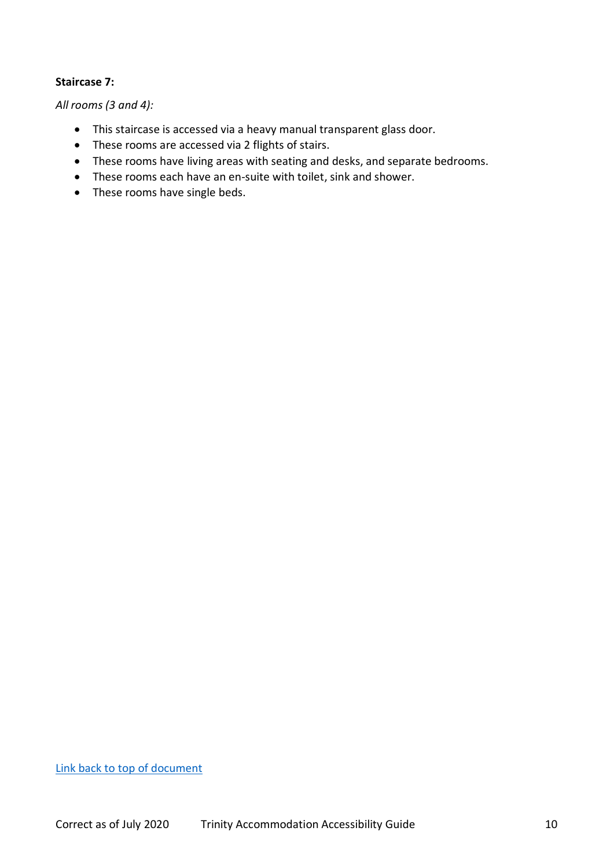#### <span id="page-9-0"></span>**Staircase 7:**

*All rooms (3 and 4):*

- This staircase is accessed via a heavy manual transparent glass door.
- These rooms are accessed via 2 flights of stairs.
- These rooms have living areas with seating and desks, and separate bedrooms.
- These rooms each have an en-suite with toilet, sink and shower.
- These rooms have single beds.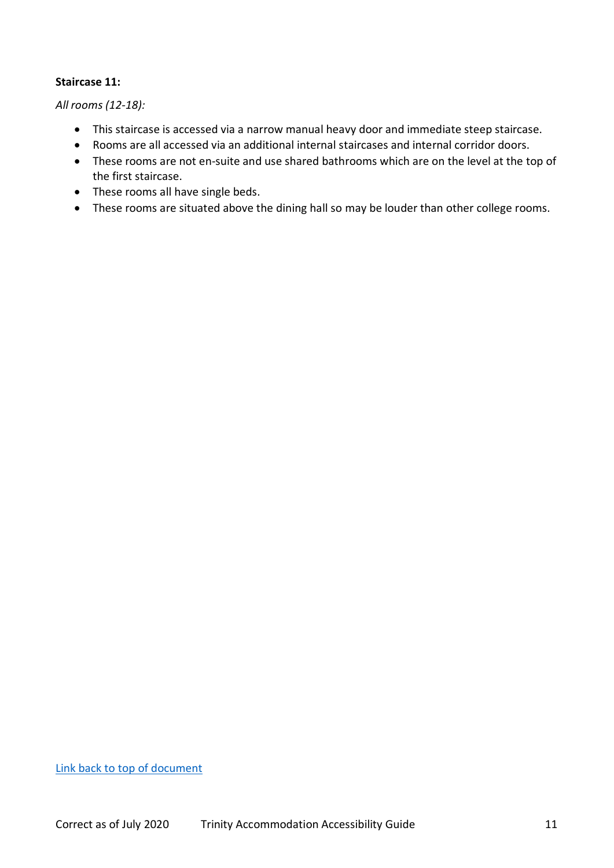#### <span id="page-10-0"></span>**Staircase 11:**

*All rooms (12-18):*

- This staircase is accessed via a narrow manual heavy door and immediate steep staircase.
- Rooms are all accessed via an additional internal staircases and internal corridor doors.
- These rooms are not en-suite and use shared bathrooms which are on the level at the top of the first staircase.
- These rooms all have single beds.
- These rooms are situated above the dining hall so may be louder than other college rooms.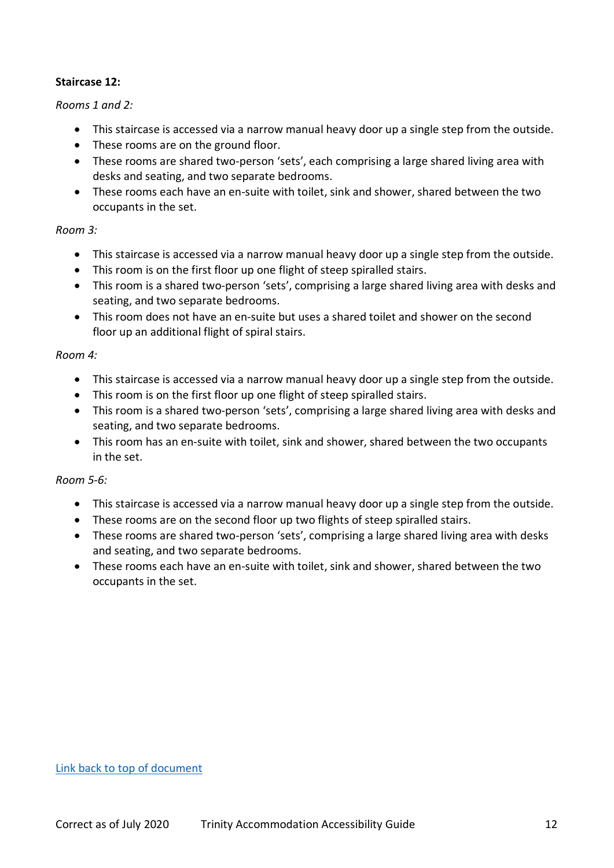#### <span id="page-11-0"></span>**Staircase 12:**

#### *Rooms 1 and 2:*

- This staircase is accessed via a narrow manual heavy door up a single step from the outside.
- These rooms are on the ground floor.
- These rooms are shared two-person 'sets', each comprising a large shared living area with desks and seating, and two separate bedrooms.
- These rooms each have an en-suite with toilet, sink and shower, shared between the two occupants in the set.

#### *Room 3:*

- This staircase is accessed via a narrow manual heavy door up a single step from the outside.
- This room is on the first floor up one flight of steep spiralled stairs.
- This room is a shared two-person 'sets', comprising a large shared living area with desks and seating, and two separate bedrooms.
- This room does not have an en-suite but uses a shared toilet and shower on the second floor up an additional flight of spiral stairs.

#### *Room 4:*

- This staircase is accessed via a narrow manual heavy door up a single step from the outside.
- This room is on the first floor up one flight of steep spiralled stairs.
- This room is a shared two-person 'sets', comprising a large shared living area with desks and seating, and two separate bedrooms.
- This room has an en-suite with toilet, sink and shower, shared between the two occupants in the set.

#### *Room 5-6:*

- This staircase is accessed via a narrow manual heavy door up a single step from the outside.
- These rooms are on the second floor up two flights of steep spiralled stairs.
- These rooms are shared two-person 'sets', comprising a large shared living area with desks and seating, and two separate bedrooms.
- These rooms each have an en-suite with toilet, sink and shower, shared between the two occupants in the set.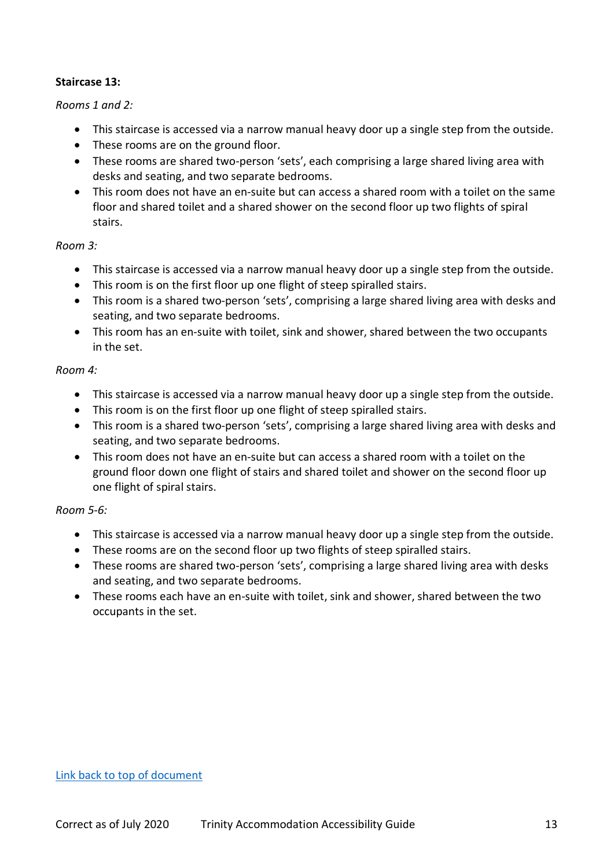### <span id="page-12-0"></span>**Staircase 13:**

#### *Rooms 1 and 2:*

- This staircase is accessed via a narrow manual heavy door up a single step from the outside.
- These rooms are on the ground floor.
- These rooms are shared two-person 'sets', each comprising a large shared living area with desks and seating, and two separate bedrooms.
- This room does not have an en-suite but can access a shared room with a toilet on the same floor and shared toilet and a shared shower on the second floor up two flights of spiral stairs.

#### *Room 3:*

- This staircase is accessed via a narrow manual heavy door up a single step from the outside.
- This room is on the first floor up one flight of steep spiralled stairs.
- This room is a shared two-person 'sets', comprising a large shared living area with desks and seating, and two separate bedrooms.
- This room has an en-suite with toilet, sink and shower, shared between the two occupants in the set.

### *Room 4:*

- This staircase is accessed via a narrow manual heavy door up a single step from the outside.
- This room is on the first floor up one flight of steep spiralled stairs.
- This room is a shared two-person 'sets', comprising a large shared living area with desks and seating, and two separate bedrooms.
- This room does not have an en-suite but can access a shared room with a toilet on the ground floor down one flight of stairs and shared toilet and shower on the second floor up one flight of spiral stairs.

#### *Room 5-6:*

- This staircase is accessed via a narrow manual heavy door up a single step from the outside.
- These rooms are on the second floor up two flights of steep spiralled stairs.
- These rooms are shared two-person 'sets', comprising a large shared living area with desks and seating, and two separate bedrooms.
- These rooms each have an en-suite with toilet, sink and shower, shared between the two occupants in the set.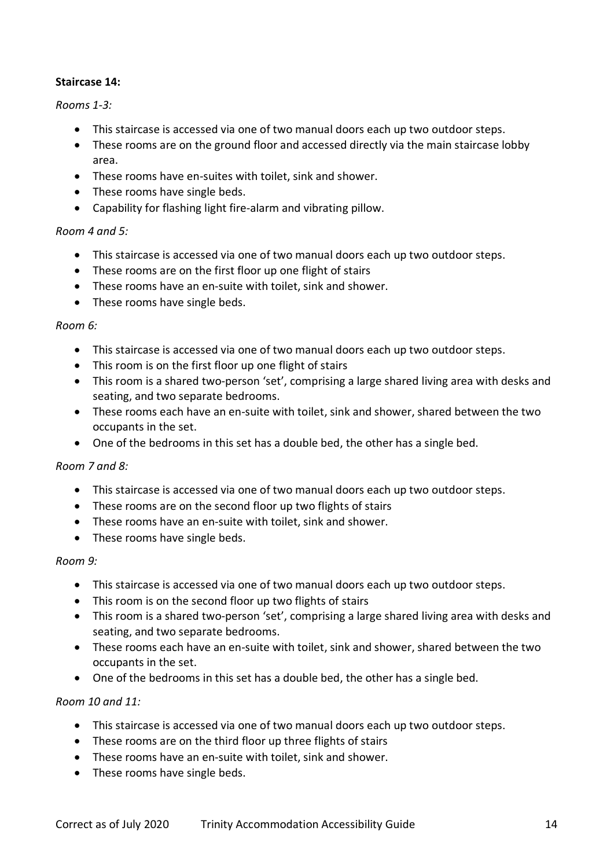### <span id="page-13-0"></span>**Staircase 14:**

#### *Rooms 1-3:*

- This staircase is accessed via one of two manual doors each up two outdoor steps.
- These rooms are on the ground floor and accessed directly via the main staircase lobby area.
- These rooms have en-suites with toilet, sink and shower.
- These rooms have single beds.
- Capability for flashing light fire-alarm and vibrating pillow.

#### *Room 4 and 5:*

- This staircase is accessed via one of two manual doors each up two outdoor steps.
- These rooms are on the first floor up one flight of stairs
- These rooms have an en-suite with toilet, sink and shower.
- These rooms have single beds.

#### *Room 6:*

- This staircase is accessed via one of two manual doors each up two outdoor steps.
- This room is on the first floor up one flight of stairs
- This room is a shared two-person 'set', comprising a large shared living area with desks and seating, and two separate bedrooms.
- These rooms each have an en-suite with toilet, sink and shower, shared between the two occupants in the set.
- One of the bedrooms in this set has a double bed, the other has a single bed.

#### *Room 7 and 8:*

- This staircase is accessed via one of two manual doors each up two outdoor steps.
- These rooms are on the second floor up two flights of stairs
- These rooms have an en-suite with toilet, sink and shower.
- These rooms have single beds.

#### *Room 9:*

- This staircase is accessed via one of two manual doors each up two outdoor steps.
- This room is on the second floor up two flights of stairs
- This room is a shared two-person 'set', comprising a large shared living area with desks and seating, and two separate bedrooms.
- These rooms each have an en-suite with toilet, sink and shower, shared between the two occupants in the set.
- One of the bedrooms in this set has a double bed, the other has a single bed.

#### *Room 10 and 11:*

- This staircase is accessed via one of two manual doors each up two outdoor steps.
- These rooms are on the third floor up three flights of stairs
- These rooms have an en-suite with toilet, sink and shower.
- These rooms have single beds.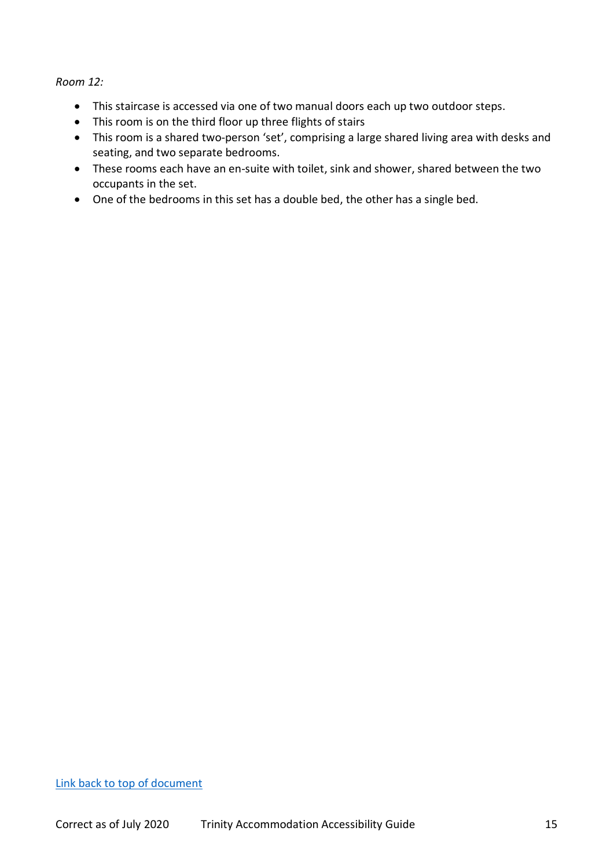*Room 12:*

- This staircase is accessed via one of two manual doors each up two outdoor steps.
- This room is on the third floor up three flights of stairs
- This room is a shared two-person 'set', comprising a large shared living area with desks and seating, and two separate bedrooms.
- These rooms each have an en-suite with toilet, sink and shower, shared between the two occupants in the set.
- One of the bedrooms in this set has a double bed, the other has a single bed.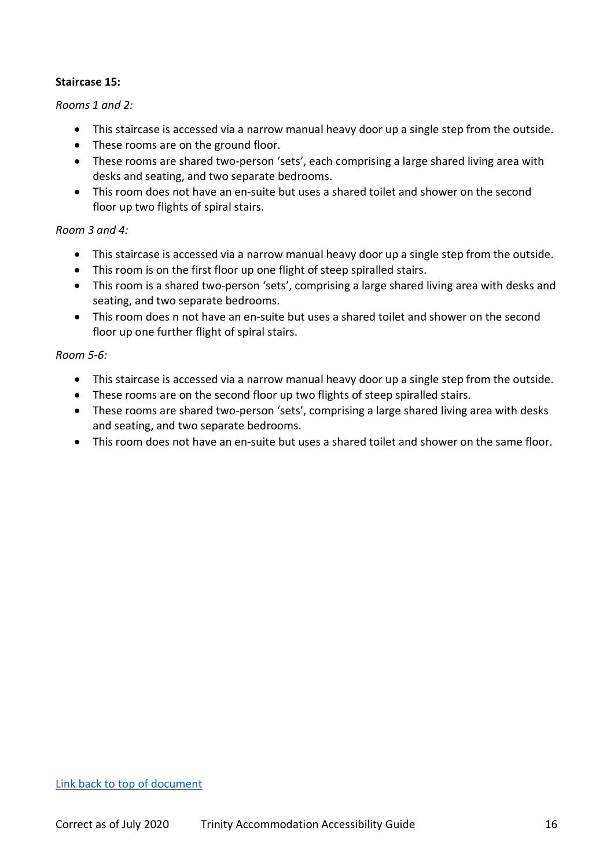#### <span id="page-15-0"></span>**Staircase 15:**

#### *Rooms 1 and 2:*

- This staircase is accessed via a narrow manual heavy door up a single step from the outside.
- These rooms are on the ground floor.
- These rooms are shared two-person 'sets', each comprising a large shared living area with desks and seating, and two separate bedrooms.
- This room does not have an en-suite but uses a shared toilet and shower on the second floor up two flights of spiral stairs.

#### *Room 3 and 4:*

- This staircase is accessed via a narrow manual heavy door up a single step from the outside.
- This room is on the first floor up one flight of steep spiralled stairs.
- This room is a shared two-person 'sets', comprising a large shared living area with desks and seating, and two separate bedrooms.
- This room does n not have an en-suite but uses a shared toilet and shower on the second floor up one further flight of spiral stairs.

#### *Room 5-6:*

- This staircase is accessed via a narrow manual heavy door up a single step from the outside.
- These rooms are on the second floor up two flights of steep spiralled stairs.
- These rooms are shared two-person 'sets', comprising a large shared living area with desks and seating, and two separate bedrooms.
- This room does not have an en-suite but uses a shared toilet and shower on the same floor.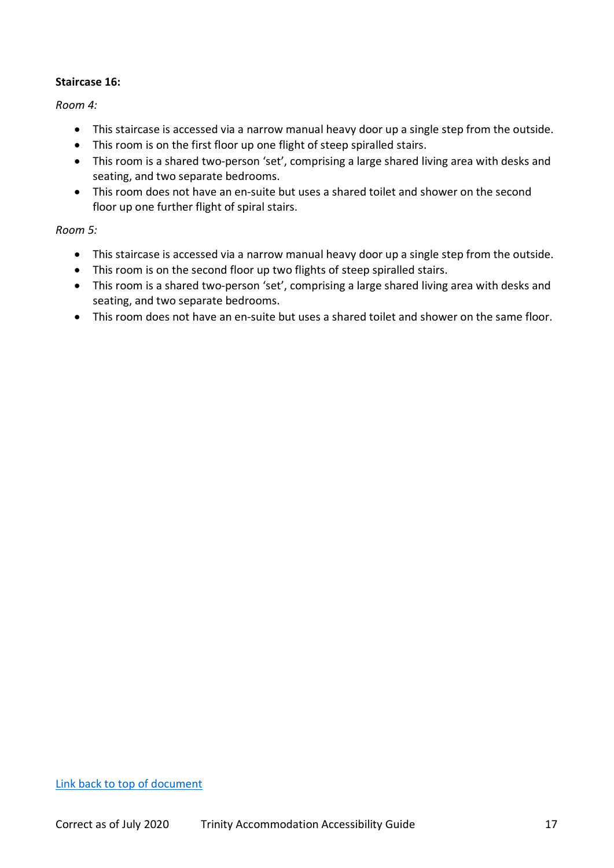### <span id="page-16-0"></span>**Staircase 16:**

*Room 4:*

- This staircase is accessed via a narrow manual heavy door up a single step from the outside.
- This room is on the first floor up one flight of steep spiralled stairs.
- This room is a shared two-person 'set', comprising a large shared living area with desks and seating, and two separate bedrooms.
- This room does not have an en-suite but uses a shared toilet and shower on the second floor up one further flight of spiral stairs.

### *Room 5:*

- This staircase is accessed via a narrow manual heavy door up a single step from the outside.
- This room is on the second floor up two flights of steep spiralled stairs.
- This room is a shared two-person 'set', comprising a large shared living area with desks and seating, and two separate bedrooms.
- This room does not have an en-suite but uses a shared toilet and shower on the same floor.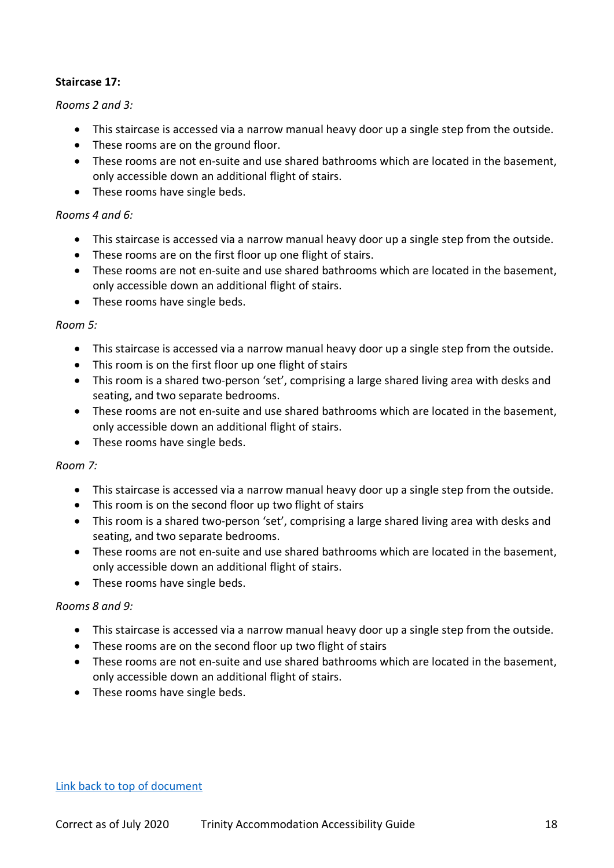## <span id="page-17-0"></span>**Staircase 17:**

#### *Rooms 2 and 3:*

- This staircase is accessed via a narrow manual heavy door up a single step from the outside.
- These rooms are on the ground floor.
- These rooms are not en-suite and use shared bathrooms which are located in the basement, only accessible down an additional flight of stairs.
- These rooms have single beds.

#### *Rooms 4 and 6:*

- This staircase is accessed via a narrow manual heavy door up a single step from the outside.
- These rooms are on the first floor up one flight of stairs.
- These rooms are not en-suite and use shared bathrooms which are located in the basement, only accessible down an additional flight of stairs.
- These rooms have single beds.

#### *Room 5:*

- This staircase is accessed via a narrow manual heavy door up a single step from the outside.
- This room is on the first floor up one flight of stairs
- This room is a shared two-person 'set', comprising a large shared living area with desks and seating, and two separate bedrooms.
- These rooms are not en-suite and use shared bathrooms which are located in the basement, only accessible down an additional flight of stairs.
- These rooms have single beds.

#### *Room 7:*

- This staircase is accessed via a narrow manual heavy door up a single step from the outside.
- This room is on the second floor up two flight of stairs
- This room is a shared two-person 'set', comprising a large shared living area with desks and seating, and two separate bedrooms.
- These rooms are not en-suite and use shared bathrooms which are located in the basement, only accessible down an additional flight of stairs.
- These rooms have single beds.

#### *Rooms 8 and 9:*

- This staircase is accessed via a narrow manual heavy door up a single step from the outside.
- These rooms are on the second floor up two flight of stairs
- These rooms are not en-suite and use shared bathrooms which are located in the basement, only accessible down an additional flight of stairs.
- These rooms have single beds.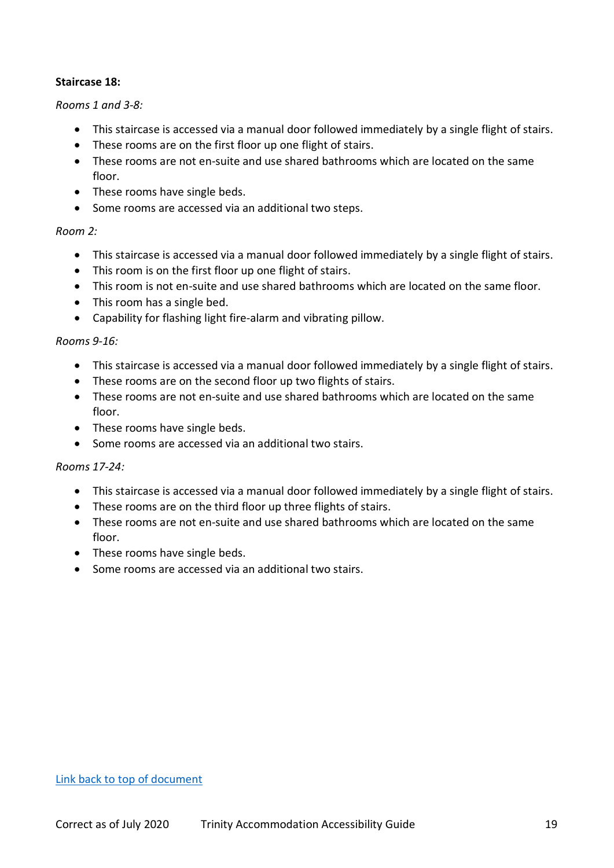#### <span id="page-18-0"></span>**Staircase 18:**

#### *Rooms 1 and 3-8:*

- This staircase is accessed via a manual door followed immediately by a single flight of stairs.
- These rooms are on the first floor up one flight of stairs.
- These rooms are not en-suite and use shared bathrooms which are located on the same floor.
- These rooms have single beds.
- Some rooms are accessed via an additional two steps.

#### *Room 2:*

- This staircase is accessed via a manual door followed immediately by a single flight of stairs.
- This room is on the first floor up one flight of stairs.
- This room is not en-suite and use shared bathrooms which are located on the same floor.
- This room has a single bed.
- Capability for flashing light fire-alarm and vibrating pillow.

#### *Rooms 9-16:*

- This staircase is accessed via a manual door followed immediately by a single flight of stairs.
- These rooms are on the second floor up two flights of stairs.
- These rooms are not en-suite and use shared bathrooms which are located on the same floor.
- These rooms have single beds.
- Some rooms are accessed via an additional two stairs.

#### *Rooms 17-24:*

- This staircase is accessed via a manual door followed immediately by a single flight of stairs.
- These rooms are on the third floor up three flights of stairs.
- These rooms are not en-suite and use shared bathrooms which are located on the same floor.
- These rooms have single beds.
- Some rooms are accessed via an additional two stairs.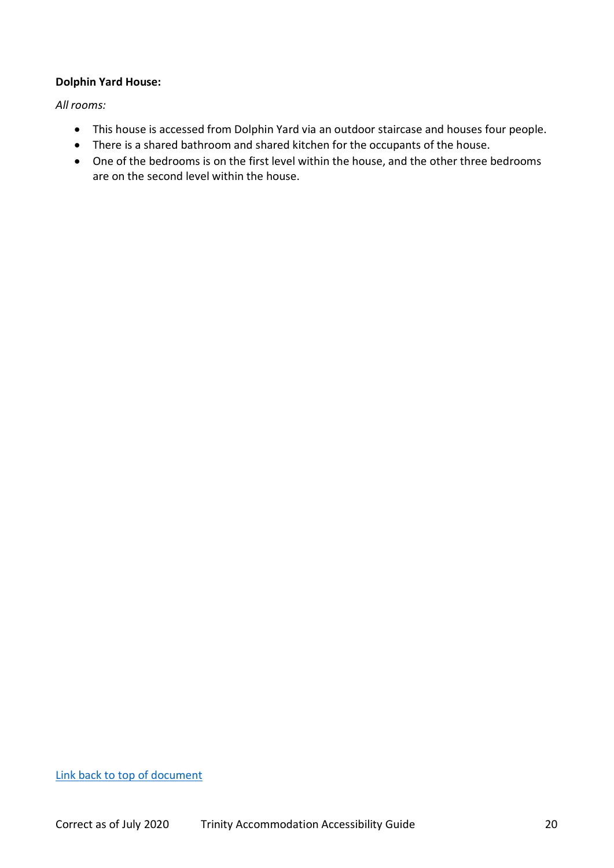## <span id="page-19-0"></span>**Dolphin Yard House:**

*All rooms:*

- This house is accessed from Dolphin Yard via an outdoor staircase and houses four people.
- There is a shared bathroom and shared kitchen for the occupants of the house.
- One of the bedrooms is on the first level within the house, and the other three bedrooms are on the second level within the house.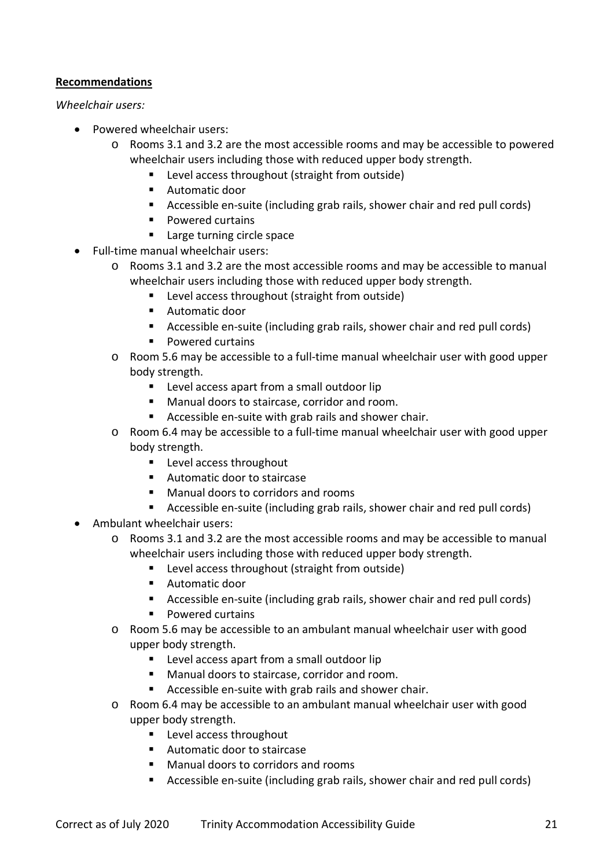## <span id="page-20-0"></span>**Recommendations**

#### *Wheelchair users:*

- Powered wheelchair users:
	- o Rooms 3.1 and 3.2 are the most accessible rooms and may be accessible to powered wheelchair users including those with reduced upper body strength.
		- **EXECTE:** Level access throughout (straight from outside)
		- Automatic door
		- Accessible en-suite (including grab rails, shower chair and red pull cords)
		- **Powered curtains**
		- **Large turning circle space**
- Full-time manual wheelchair users:
	- o Rooms 3.1 and 3.2 are the most accessible rooms and may be accessible to manual wheelchair users including those with reduced upper body strength.
		- **EXECTE:** Level access throughout (straight from outside)
		- **Automatic door**
		- Accessible en-suite (including grab rails, shower chair and red pull cords)
		- **Powered curtains**
	- o Room 5.6 may be accessible to a full-time manual wheelchair user with good upper body strength.
		- **Level access apart from a small outdoor lip**
		- **Manual doors to staircase, corridor and room.**
		- Accessible en-suite with grab rails and shower chair.
	- o Room 6.4 may be accessible to a full-time manual wheelchair user with good upper body strength.
		- **E** Level access throughout
		- Automatic door to staircase
		- **Manual doors to corridors and rooms**
		- Accessible en-suite (including grab rails, shower chair and red pull cords)
- Ambulant wheelchair users:
	- o Rooms 3.1 and 3.2 are the most accessible rooms and may be accessible to manual wheelchair users including those with reduced upper body strength.
		- **EXEC** Level access throughout (straight from outside)
		- Automatic door
		- Accessible en-suite (including grab rails, shower chair and red pull cords)
		- **Powered curtains**
	- o Room 5.6 may be accessible to an ambulant manual wheelchair user with good upper body strength.
		- **Level access apart from a small outdoor lip**
		- Manual doors to staircase, corridor and room.
		- Accessible en-suite with grab rails and shower chair.
	- o Room 6.4 may be accessible to an ambulant manual wheelchair user with good upper body strength.
		- **Level access throughout**
		- Automatic door to staircase
		- Manual doors to corridors and rooms
		- Accessible en-suite (including grab rails, shower chair and red pull cords)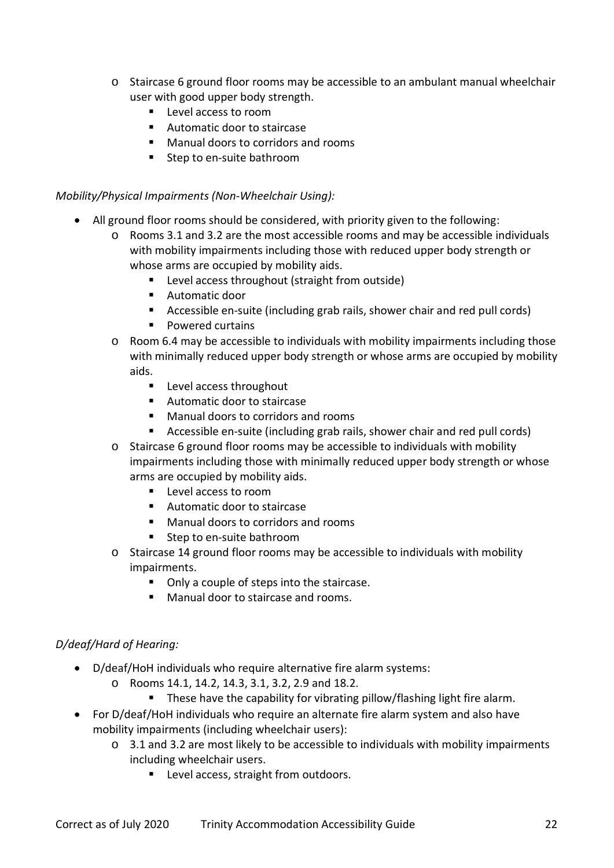- o Staircase 6 ground floor rooms may be accessible to an ambulant manual wheelchair user with good upper body strength.
	- **Level access to room**
	- Automatic door to staircase
	- Manual doors to corridors and rooms
	- Step to en-suite bathroom

### *Mobility/Physical Impairments (Non-Wheelchair Using):*

- All ground floor rooms should be considered, with priority given to the following:
	- o Rooms 3.1 and 3.2 are the most accessible rooms and may be accessible individuals with mobility impairments including those with reduced upper body strength or whose arms are occupied by mobility aids.
		- **EXEC** Level access throughout (straight from outside)
		- Automatic door
		- Accessible en-suite (including grab rails, shower chair and red pull cords)
		- Powered curtains
	- $\circ$  Room 6.4 may be accessible to individuals with mobility impairments including those with minimally reduced upper body strength or whose arms are occupied by mobility aids.
		- **Level access throughout**
		- Automatic door to staircase
		- Manual doors to corridors and rooms
		- Accessible en-suite (including grab rails, shower chair and red pull cords)
	- o Staircase 6 ground floor rooms may be accessible to individuals with mobility impairments including those with minimally reduced upper body strength or whose arms are occupied by mobility aids.
		- **Level access to room**
		- Automatic door to staircase
		- Manual doors to corridors and rooms
		- Step to en-suite bathroom
	- o Staircase 14 ground floor rooms may be accessible to individuals with mobility impairments.
		- Only a couple of steps into the staircase.
		- **Manual door to staircase and rooms.**

# *D/deaf/Hard of Hearing:*

- D/deaf/HoH individuals who require alternative fire alarm systems:
	- o Rooms 14.1, 14.2, 14.3, 3.1, 3.2, 2.9 and 18.2.
		- **These have the capability for vibrating pillow/flashing light fire alarm.**
- For D/deaf/HoH individuals who require an alternate fire alarm system and also have mobility impairments (including wheelchair users):
	- o 3.1 and 3.2 are most likely to be accessible to individuals with mobility impairments including wheelchair users.
		- **Level access, straight from outdoors.**